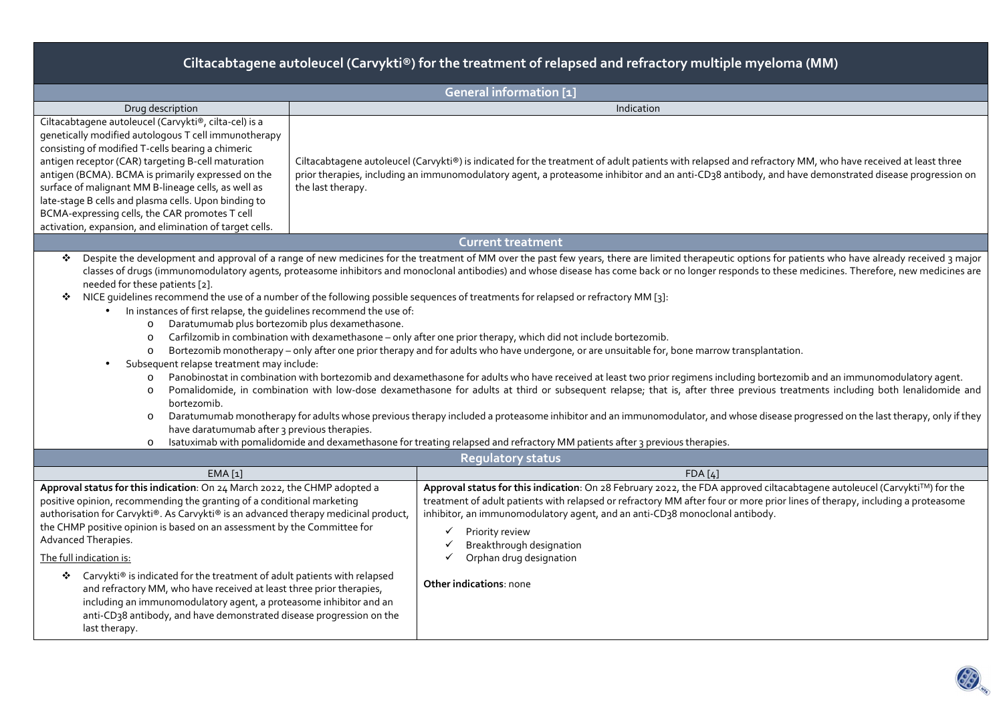| Ciltacabtagene autoleucel (Carvykti®) for the treatment of relapsed and refractory multiple myeloma (MM)                                                                                                                                                                                                                                                                                                                                                                                                                                                                                                                                                                                                                                                                                                                                                                                                                                                                                                                                                                                                                                                                                                                                                                                                                                                                                                                                                                                                                                                                                                                                                                                                                    |                                                                                                                                                                                                                                                                                                                                                                                                                                                        |  |  |  |  |  |  |  |
|-----------------------------------------------------------------------------------------------------------------------------------------------------------------------------------------------------------------------------------------------------------------------------------------------------------------------------------------------------------------------------------------------------------------------------------------------------------------------------------------------------------------------------------------------------------------------------------------------------------------------------------------------------------------------------------------------------------------------------------------------------------------------------------------------------------------------------------------------------------------------------------------------------------------------------------------------------------------------------------------------------------------------------------------------------------------------------------------------------------------------------------------------------------------------------------------------------------------------------------------------------------------------------------------------------------------------------------------------------------------------------------------------------------------------------------------------------------------------------------------------------------------------------------------------------------------------------------------------------------------------------------------------------------------------------------------------------------------------------|--------------------------------------------------------------------------------------------------------------------------------------------------------------------------------------------------------------------------------------------------------------------------------------------------------------------------------------------------------------------------------------------------------------------------------------------------------|--|--|--|--|--|--|--|
| General information [1]                                                                                                                                                                                                                                                                                                                                                                                                                                                                                                                                                                                                                                                                                                                                                                                                                                                                                                                                                                                                                                                                                                                                                                                                                                                                                                                                                                                                                                                                                                                                                                                                                                                                                                     |                                                                                                                                                                                                                                                                                                                                                                                                                                                        |  |  |  |  |  |  |  |
| Drug description                                                                                                                                                                                                                                                                                                                                                                                                                                                                                                                                                                                                                                                                                                                                                                                                                                                                                                                                                                                                                                                                                                                                                                                                                                                                                                                                                                                                                                                                                                                                                                                                                                                                                                            | Indication                                                                                                                                                                                                                                                                                                                                                                                                                                             |  |  |  |  |  |  |  |
| Ciltacabtagene autoleucel (Carvykti®, cilta-cel) is a<br>genetically modified autologous T cell immunotherapy<br>consisting of modified T-cells bearing a chimeric<br>antigen receptor (CAR) targeting B-cell maturation<br>antigen (BCMA). BCMA is primarily expressed on the<br>surface of malignant MM B-lineage cells, as well as<br>the last therapy.<br>late-stage B cells and plasma cells. Upon binding to<br>BCMA-expressing cells, the CAR promotes T cell<br>activation, expansion, and elimination of target cells.                                                                                                                                                                                                                                                                                                                                                                                                                                                                                                                                                                                                                                                                                                                                                                                                                                                                                                                                                                                                                                                                                                                                                                                             | Ciltacabtagene autoleucel (Carvykti®) is indicated for the treatment of adult patients with relapsed and refractory MM, who have received at least three<br>prior therapies, including an immunomodulatory agent, a proteasome inhibitor and an anti-CD38 antibody, and have demonstrated disease progression on                                                                                                                                       |  |  |  |  |  |  |  |
|                                                                                                                                                                                                                                                                                                                                                                                                                                                                                                                                                                                                                                                                                                                                                                                                                                                                                                                                                                                                                                                                                                                                                                                                                                                                                                                                                                                                                                                                                                                                                                                                                                                                                                                             | <b>Current treatment</b>                                                                                                                                                                                                                                                                                                                                                                                                                               |  |  |  |  |  |  |  |
| Despite the development and approval of a range of new medicines for the treatment of MM over the past few years, there are limited therapeutic options for patients who have already received 3 major<br>❖<br>classes of drugs (immunomodulatory agents, proteasome inhibitors and monoclonal antibodies) and whose disease has come back or no longer responds to these medicines. Therefore, new medicines are<br>needed for these patients [2].<br>NICE guidelines recommend the use of a number of the following possible sequences of treatments for relapsed or refractory MM [3]:<br>❖<br>In instances of first relapse, the guidelines recommend the use of:<br>Daratumumab plus bortezomib plus dexamethasone.<br>$\circ$<br>Carfilzomib in combination with dexamethasone - only after one prior therapy, which did not include bortezomib.<br>$\circ$<br>Bortezomib monotherapy - only after one prior therapy and for adults who have undergone, or are unsuitable for, bone marrow transplantation.<br>$\circ$<br>Subsequent relapse treatment may include:<br>Panobinostat in combination with bortezomib and dexamethasone for adults who have received at least two prior regimens including bortezomib and an immunomodulatory agent.<br>$\circ$<br>Pomalidomide, in combination with low-dose dexamethasone for adults at third or subsequent relapse; that is, after three previous treatments including both lenalidomide and<br>$\circ$<br>bortezomib.<br>Daratumumab monotherapy for adults whose previous therapy included a proteasome inhibitor and an immunomodulator, and whose disease progressed on the last therapy, only if they<br>$\circ$<br>have daratumumab after 3 previous therapies. |                                                                                                                                                                                                                                                                                                                                                                                                                                                        |  |  |  |  |  |  |  |
|                                                                                                                                                                                                                                                                                                                                                                                                                                                                                                                                                                                                                                                                                                                                                                                                                                                                                                                                                                                                                                                                                                                                                                                                                                                                                                                                                                                                                                                                                                                                                                                                                                                                                                                             | <b>Regulatory status</b>                                                                                                                                                                                                                                                                                                                                                                                                                               |  |  |  |  |  |  |  |
| EMA [1]                                                                                                                                                                                                                                                                                                                                                                                                                                                                                                                                                                                                                                                                                                                                                                                                                                                                                                                                                                                                                                                                                                                                                                                                                                                                                                                                                                                                                                                                                                                                                                                                                                                                                                                     | FDA[4]                                                                                                                                                                                                                                                                                                                                                                                                                                                 |  |  |  |  |  |  |  |
| Approval status for this indication: On 24 March 2022, the CHMP adopted a<br>positive opinion, recommending the granting of a conditional marketing<br>authorisation for Carvykti®. As Carvykti® is an advanced therapy medicinal product,<br>the CHMP positive opinion is based on an assessment by the Committee for<br>Advanced Therapies.<br>The full indication is:<br>Carvykti® is indicated for the treatment of adult patients with relapsed<br>❖<br>and refractory MM, who have received at least three prior therapies,<br>including an immunomodulatory agent, a proteasome inhibitor and an<br>anti-CD <sub>3</sub> 8 antibody, and have demonstrated disease progression on the<br>last therapy.                                                                                                                                                                                                                                                                                                                                                                                                                                                                                                                                                                                                                                                                                                                                                                                                                                                                                                                                                                                                               | Approval status for this indication: On 28 February 2022, the FDA approved ciltacabtagene autoleucel (Carvykti™) for the<br>treatment of adult patients with relapsed or refractory MM after four or more prior lines of therapy, including a proteasome<br>inhibitor, an immunomodulatory agent, and an anti-CD38 monoclonal antibody.<br>Priority review<br>✓<br>Breakthrough designation<br>✓<br>Orphan drug designation<br>Other indications: none |  |  |  |  |  |  |  |

**BO**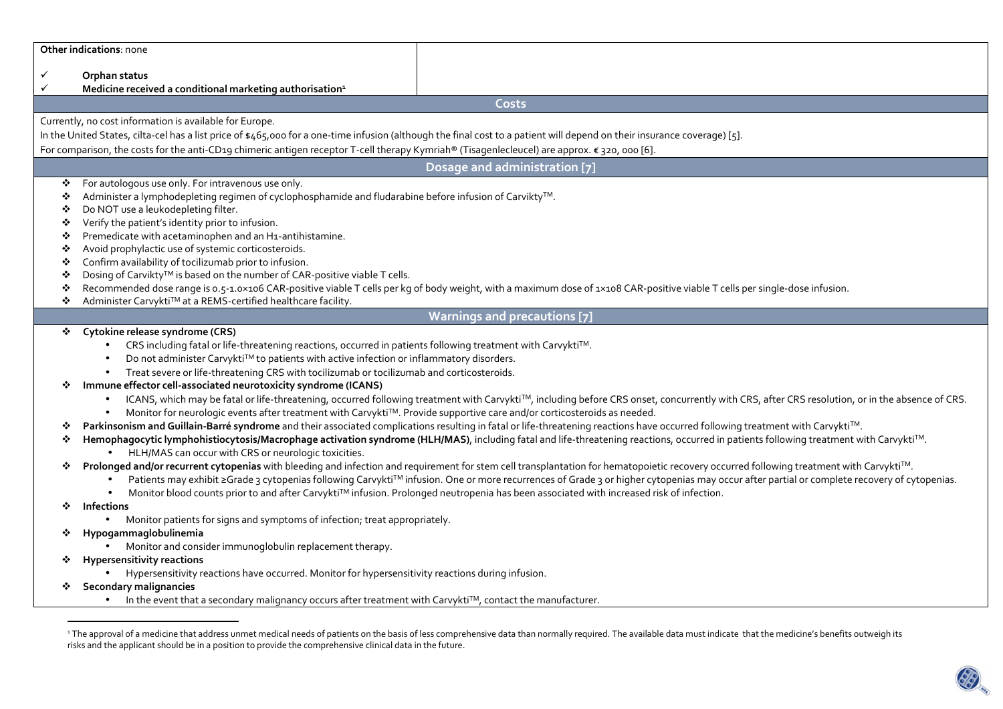| <b>Other indications: none</b> |
|--------------------------------|
|--------------------------------|

✓ **Orphan status** 

✓ **Medicine received a conditional marketing authorisation<sup>1</sup>**

**Costs**

Currently, no cost information is available for Europe.

In the United States, cilta-cel has a list price of \$465,000 for a one-time infusion (although the final cost to a patient will depend on their insurance coverage) [5].

For comparison, the costs for the anti-CD19 chimeric antigen receptor T-cell therapy Kymriah® (Tisagenlecleucel) are approx. € 320, 000 [6].

### **Dosage and administration [7]**

- $\mathbf{r}$ For autologous use only. For intravenous use only.
- $\mathbf{r}^{\star}_{\mathbf{r}^{\star}}$ Administer a lymphodepleting regimen of cyclophosphamide and fludarabine before infusion of Carvikty<sup>TM</sup>.<br>
Do NOT use a leukodepleting filter
- Do NOT use a leukodepleting filter.
- $\mathbf{r}_{\mathbf{a}}^{\mathbf{a}}$ Verify the patient's identity prior to infusion.
- ÷ Premedicate with acetaminophen and an H1-antihistamine.
- ٠ Avoid prophylactic use of systemic corticosteroids.
- ٠ Confirm availability of tocilizumab prior to infusion.
- ❖ Dosing of Carvikty<sup>™</sup> is based on the number of CAR-positive viable T cells.
- $\bullet$ Recommended dose range is 0.5-1.0×106 CAR-positive viable T cells per kg of body weight, with a maximum dose of 1×108 CAR-positive viable T cells per single-dose infusion.
- ÷ Administer Carvykti™ at a REMS-certified healthcare facility.

# **Warnings and precautions [7]**

# **Cytokine release syndrome (CRS)**

- CRS including fatal or life-threatening reactions, occurred in patients following treatment with CarvyktiTM.
- $\bullet$  Do not administer Carvykti $^{TM}$  to patients with active infection or inflammatory disorders.
- Treat severe or life-threatening CRS with tocilizumab or tocilizumab and corticosteroids.
- ❖ **Immune effector cell-associated neurotoxicity syndrome (ICANS)** 
	- $\bullet$  ICANS, which may be fatal or life-threatening, occurred following treatment with Carvykti™, including before CRS onset, concurrently with CRS, after CRS resolution, or in the absence of CRS.
	- Monitor for neurologic events after treatment with CarvyktiTM. Provide supportive care and/or corticosteroids as needed.
- ❖ \* Parkinsonism and Guillain-Barré syndrome and their associated complications resulting in fatal or life-threatening reactions have occurred following treatment with Carvykti™.<br>\* Hemophagocytic lymphohistiocytosis/Macroph
- \* Hemophagocytic lymphohistiocytosis/Macrophage activation syndrome (HLH/MAS), including fatal and life-threatening reactions, occurred in patients following treatment with Carvykti™.<br>• HI H/MAS can occur with CRS or neur
	- HLH/MAS can occur with CRS or neurologic toxicities.
- ❖ Prolonged and/or recurrent cytopenias with bleeding and infection and requirement for stem cell transplantation for hematopoietic recovery occurred following treatment with Carvykti<sup>™</sup>.
	- Patients may exhibit ≥Grade 3 cytopenias following Carvykti™ infusion. One or more recurrences of Grade 3 or higher cytopenias may occur after partial or complete recovery of cytopenias.
	- Monitor blood counts prior to and after CarvyktiTM infusion. Prolonged neutropenia has been associated with increased risk of infection.
- ❖ **Infections** 
	- Monitor patients for signs and symptoms of infection; treat appropriately.
- ❖ **Hypogammaglobulinemia** 
	- Monitor and consider immunoglobulin replacement therapy.
- ❖ **Hypersensitivity reactions** 
	- •Hypersensitivity reactions have occurred. Monitor for hypersensitivity reactions during infusion.
- **Secondary malignancies** 
	- In the event that a secondary malignancy occurs after treatment with Carvykti<sup>TM</sup>, contact the manufacturer.

<sup>&</sup>lt;sup>1</sup> The approval of a medicine that address unmet medical needs of patients on the basis of less comprehensive data than normally required. The available data must indicate that the medicine's benefits outweigh its risks and the applicant should be in a position to provide the comprehensive clinical data in the future.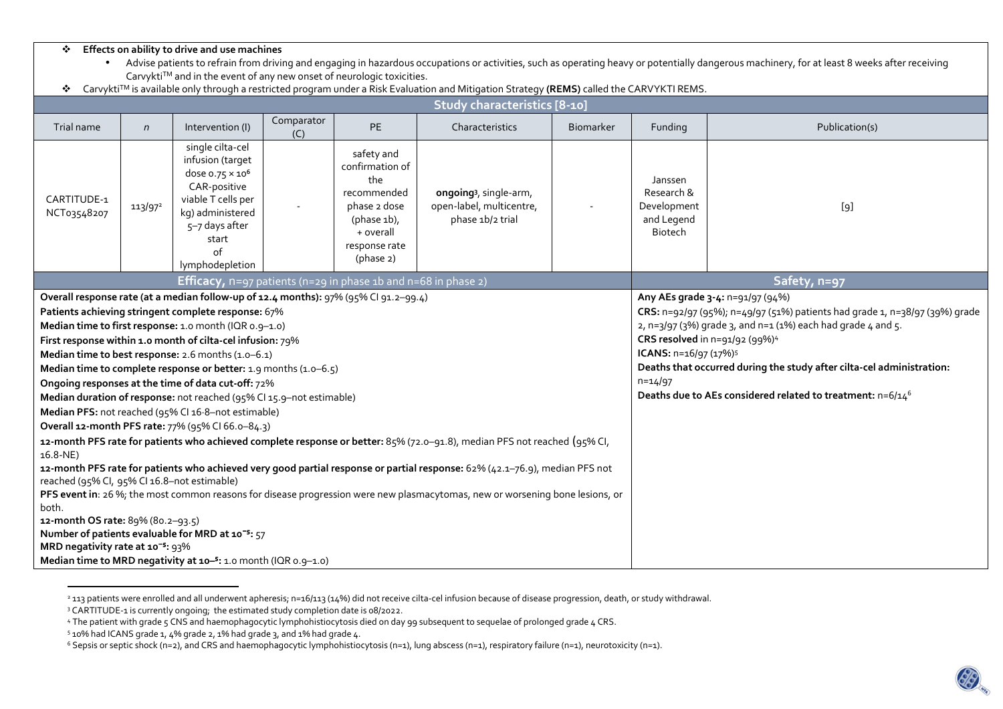#### $\ddot{\cdot}$ **Effects on ability to drive and use machines**

 $\bullet$  Advise patients to refrain from driving and engaging in hazardous occupations or activities, such as operating heavy or potentially dangerous machinery, for at least 8 weeks after receiving  $Carvykti<sup>TM</sup>$  and in the event of any new onset of neurologic toxicities.

|  |  | * Carvykti™ is available only through a restricted program under a Risk Evaluation and Mitigation Strategy (REMS) called the CARVYKTI REMS. |                                                                                                                 |  |  |  |
|--|--|---------------------------------------------------------------------------------------------------------------------------------------------|-----------------------------------------------------------------------------------------------------------------|--|--|--|
|  |  |                                                                                                                                             | the contract of the contract of the contract of the contract of the contract of the contract of the contract of |  |  |  |

| Study characteristics [8-10]                                                                                                                                                                                                                                                                                                                                                                                                                                                                                                                                                                                                                                                                                                                                                                                                                                                                                                                                                                                                                                                                                                                                                                                                                                                                                                                     |                                                                                                                                                                               |  |                                                                                                                                  |                                                                                    |                  |                                                                      |                                                                                                                                                                                                                                                                                                                                                                                                                                      |  |  |  |
|--------------------------------------------------------------------------------------------------------------------------------------------------------------------------------------------------------------------------------------------------------------------------------------------------------------------------------------------------------------------------------------------------------------------------------------------------------------------------------------------------------------------------------------------------------------------------------------------------------------------------------------------------------------------------------------------------------------------------------------------------------------------------------------------------------------------------------------------------------------------------------------------------------------------------------------------------------------------------------------------------------------------------------------------------------------------------------------------------------------------------------------------------------------------------------------------------------------------------------------------------------------------------------------------------------------------------------------------------|-------------------------------------------------------------------------------------------------------------------------------------------------------------------------------|--|----------------------------------------------------------------------------------------------------------------------------------|------------------------------------------------------------------------------------|------------------|----------------------------------------------------------------------|--------------------------------------------------------------------------------------------------------------------------------------------------------------------------------------------------------------------------------------------------------------------------------------------------------------------------------------------------------------------------------------------------------------------------------------|--|--|--|
| Trial name<br>$\mathsf{n}$                                                                                                                                                                                                                                                                                                                                                                                                                                                                                                                                                                                                                                                                                                                                                                                                                                                                                                                                                                                                                                                                                                                                                                                                                                                                                                                       | Comparator<br><b>PE</b><br>Intervention (I)<br>(C)                                                                                                                            |  |                                                                                                                                  | Characteristics                                                                    | <b>Biomarker</b> |                                                                      | Publication(s)                                                                                                                                                                                                                                                                                                                                                                                                                       |  |  |  |
| CARTITUDE-1<br>113/97 <sup>2</sup><br>NCT03548207                                                                                                                                                                                                                                                                                                                                                                                                                                                                                                                                                                                                                                                                                                                                                                                                                                                                                                                                                                                                                                                                                                                                                                                                                                                                                                | single cilta-cel<br>infusion (target<br>dose $0.75 \times 10^6$<br>CAR-positive<br>viable T cells per<br>kg) administered<br>5-7 days after<br>start<br>of<br>lymphodepletion |  | safety and<br>confirmation of<br>the<br>recommended<br>phase 2 dose<br>(phase $1b$ ),<br>+ overall<br>response rate<br>(phase 2) | ongoing <sup>3</sup> , single-arm,<br>open-label, multicentre,<br>phase 1b/2 trial |                  | Janssen<br>Research &<br>Development<br>and Legend<br><b>Biotech</b> | [9]                                                                                                                                                                                                                                                                                                                                                                                                                                  |  |  |  |
|                                                                                                                                                                                                                                                                                                                                                                                                                                                                                                                                                                                                                                                                                                                                                                                                                                                                                                                                                                                                                                                                                                                                                                                                                                                                                                                                                  |                                                                                                                                                                               |  |                                                                                                                                  | Safety, n=97                                                                       |                  |                                                                      |                                                                                                                                                                                                                                                                                                                                                                                                                                      |  |  |  |
| <b>Efficacy,</b> $n=97$ patients ( $n=29$ in phase 1b and $n=68$ in phase 2)<br>Overall response rate (at a median follow-up of 12.4 months): 97% (95% CI 91.2-99.4)<br>Patients achieving stringent complete response: 67%<br>Median time to first response: 1.0 month (IQR 0.9-1.0)<br>First response within 1.0 month of cilta-cel infusion: 79%<br>Median time to best response: 2.6 months (1.0-6.1)<br>Median time to complete response or better: 1.9 months (1.0-6.5)<br>Ongoing responses at the time of data cut-off: 72%<br>Median duration of response: not reached (95% CI 15.9-not estimable)<br>Median PFS: not reached (95% CI 16.8-not estimable)<br>Overall 12-month PFS rate: 77% (95% CI 66.0-84.3)<br>12-month PFS rate for patients who achieved complete response or better: 85% (72.0-91.8), median PFS not reached (95% CI,<br>$16.8-NE$<br>12-month PFS rate for patients who achieved very good partial response or partial response: 62% (42.1-76.9), median PFS not<br>reached (95% CI, 95% CI 16.8-not estimable)<br>PFS event in: 26 %; the most common reasons for disease progression were new plasmacytomas, new or worsening bone lesions, or<br>both.<br>12-month OS rate: 89% (80.2-93.5)<br>Number of patients evaluable for MRD at 10 <sup>-5</sup> : 57<br>MRD negativity rate at 10 <sup>-5</sup> : 93% |                                                                                                                                                                               |  |                                                                                                                                  |                                                                                    |                  |                                                                      | Any AEs grade 3-4: n=91/97 (94%)<br>CRS: n=92/97 (95%); n=49/97 (51%) patients had grade 1, n=38/97 (39%) grade<br>2, n=3/97 (3%) grade 3, and n=1 (1%) each had grade 4 and 5.<br>CRS resolved in n=91/92 (99%) <sup>4</sup><br>ICANS: n=16/97 (17%) <sup>5</sup><br>Deaths that occurred during the study after cilta-cel administration:<br>$n = 14/97$<br>Deaths due to AEs considered related to treatment: n=6/14 <sup>6</sup> |  |  |  |

<sup>&</sup>lt;sup>2</sup> 113 patients were enrolled and all underwent apheresis; n=16/113 (14%) did not receive cilta-cel infusion because of disease progression, death, or study withdrawal.

<sup>3</sup> CARTITUDE-1 is currently ongoing; the estimated study completion date is 08/2022.

<sup>4</sup> The patient with grade 5 CNS and haemophagocytic lymphohistiocytosis died on day 99 subsequent to sequelae of prolonged grade 4 CRS.

 $5$  10% had ICANS grade 1, 4% grade 2, 1% had grade 3, and 1% had grade 4.

6 Sepsis or septic shock (n=2), and CRS and haemophagocytic lymphohistiocytosis (n=1), lung abscess (n=1), respiratory failure (n=1), neurotoxicity (n=1).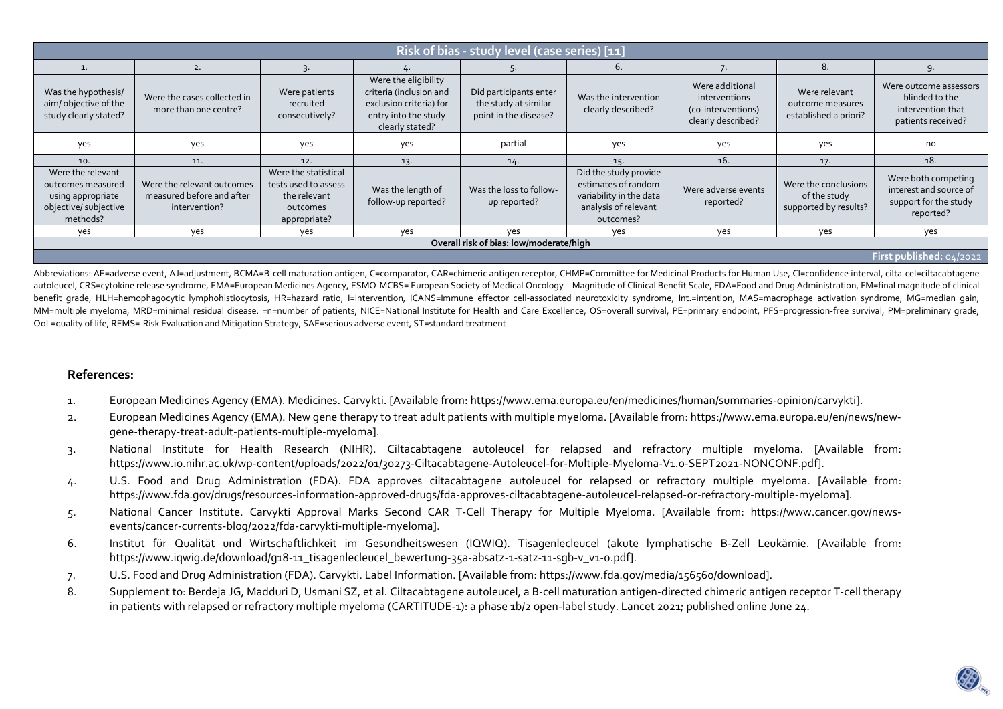| Risk of bias - study level (case series) [11]                                                    |                                                                          |                                                                                          |                                                                                                                       |                                                                         |                                                                                                              |                                                                              |                                                               |                                                                                     |  |  |
|--------------------------------------------------------------------------------------------------|--------------------------------------------------------------------------|------------------------------------------------------------------------------------------|-----------------------------------------------------------------------------------------------------------------------|-------------------------------------------------------------------------|--------------------------------------------------------------------------------------------------------------|------------------------------------------------------------------------------|---------------------------------------------------------------|-------------------------------------------------------------------------------------|--|--|
|                                                                                                  | 2.                                                                       |                                                                                          |                                                                                                                       |                                                                         | 6.                                                                                                           |                                                                              | 8.                                                            | 9.                                                                                  |  |  |
| Was the hypothesis/<br>aim/objective of the<br>study clearly stated?                             | Were the cases collected in<br>more than one centre?                     | Were patients<br>recruited<br>consecutively?                                             | Were the eligibility<br>criteria (inclusion and<br>exclusion criteria) for<br>entry into the study<br>clearly stated? | Did participants enter<br>the study at similar<br>point in the disease? | Was the intervention<br>clearly described?                                                                   | Were additional<br>interventions<br>(co-interventions)<br>clearly described? | Were relevant<br>outcome measures<br>established a priori?    | Were outcome assessors<br>blinded to the<br>intervention that<br>patients received? |  |  |
| yes                                                                                              | yes                                                                      | yes                                                                                      | yes                                                                                                                   | partial                                                                 | yes                                                                                                          | yes                                                                          | yes                                                           | no                                                                                  |  |  |
| 10.                                                                                              | 11.                                                                      | 12.                                                                                      | 13.                                                                                                                   | 14.                                                                     | 15.                                                                                                          | 16.                                                                          | 17.                                                           | 18.                                                                                 |  |  |
| Were the relevant<br>outcomes measured<br>using appropriate<br>objective/ subjective<br>methods? | Were the relevant outcomes<br>measured before and after<br>intervention? | Were the statistical<br>tests used to assess<br>the relevant<br>outcomes<br>appropriate? | Was the length of<br>follow-up reported?                                                                              | Was the loss to follow-<br>up reported?                                 | Did the study provide<br>estimates of random<br>variability in the data<br>analysis of relevant<br>outcomes? | Were adverse events<br>reported?                                             | Were the conclusions<br>of the study<br>supported by results? | Were both competing<br>interest and source of<br>support for the study<br>reported? |  |  |
| yes                                                                                              | yes                                                                      | yes                                                                                      | yes                                                                                                                   | ves                                                                     | yes                                                                                                          | yes                                                                          | yes                                                           | yes                                                                                 |  |  |
| Overall risk of bias: low/moderate/high                                                          |                                                                          |                                                                                          |                                                                                                                       |                                                                         |                                                                                                              |                                                                              |                                                               |                                                                                     |  |  |
| First published: 04/2022                                                                         |                                                                          |                                                                                          |                                                                                                                       |                                                                         |                                                                                                              |                                                                              |                                                               |                                                                                     |  |  |

Abbreviations: AE=adverse event, AJ=adjustment, BCMA=B-cell maturation antigen, C=comparator, CAR=chimeric antigen receptor, CHMP=Committee for Medicinal Products for Human Use, Cl=confidence interval, cilta-cel=ciltacabta autoleucel, CRS=cytokine release syndrome, EMA=European Medicines Agency, ESMO-MCBS= European Society of Medical Oncology - Magnitude of Clinical Benefit Scale, FDA=Food and Drug Administration, FM=final magnitude of clini benefit grade, HLH=hemophagocytic lymphohistiocytosis, HR=hazard ratio, I=intervention, ICANS=Immune effector cell-associated neurotoxicity syndrome, Int.=intention, MAS=macrophage activation syndrome, MG=median gain, MM=multiple myeloma, MRD=minimal residual disease. =n=number of patients, NICE=National Institute for Health and Care Excellence, OS=overall survival, PE=primary endpoint, PFS=progression-free survival, PM=preliminary grad QoL=quality of life, REMS= Risk Evaluation and Mitigation Strategy, SAE=serious adverse event, ST=standard treatment

## **References:**

- 1. European Medicines Agency (EMA). Medicines. Carvykti. [Available from: https://www.ema.europa.eu/en/medicines/human/summaries-opinion/carvykti].
- 2. European Medicines Agency (EMA). New gene therapy to treat adult patients with multiple myeloma. [Available from: https://www.ema.europa.eu/en/news/newgene-therapy-treat-adult-patients-multiple-myeloma].<br>3. National Institute for Health Research (NIHR). Ciltacabtagene autoleucel for relapsed and refractory multiple myeloma. [Available from:
- https://www.io.nihr.ac.uk/wp-content/uploads/2022/01/30273-Ciltacabtagene-Autoleucel-for-Multiple-Myeloma-V1.0-SEPT2021-NONCONF.pdf].
- 4. U.S. Food and Drug Administration (FDA). FDA approves ciltacabtagene autoleucel for relapsed or refractory multiple myeloma. [Available from: https://www.fda.gov/drugs/resources-information-approved-drugs/fda-approves-ciltacabtagene-autoleucel-relapsed-or-refractory-multiple-myeloma].
- 5. National Cancer Institute. Carvykti Approval Marks Second CAR T-Cell Therapy for Multiple Myeloma. [Available from: https://www.cancer.gov/newsevents/cancer-currents-blog/2022/fda-carvykti-multiple-myeloma].
- 6. Institut für Qualität und Wirtschaftlichkeit im Gesundheitswesen (IQWIQ). Tisagenlecleucel (akute lymphatische B-Zell Leukämie. [Available from: https://www.iqwig.de/download/g18-11\_tisagenlecleucel\_bewertung-35a-absatz-1-satz-11-sgb-v\_v1-0.pdf].
- 7. U.S. Food and Drug Administration (FDA). Carvykti. Label Information. [Available from: https://www.fda.gov/media/156560/download].
- 8. Supplement to: Berdeja JG, Madduri D, Usmani SZ, et al. Ciltacabtagene autoleucel, a B-cell maturation antigen-directed chimeric antigen receptor T-cell therapy in patients with relapsed or refractory multiple myeloma (CARTITUDE-1): a phase 1b/2 open-label study. Lancet 2021; published online June 24.